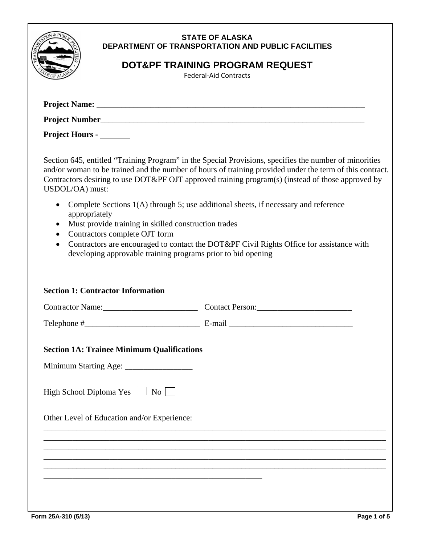|                                                                                                                                                                                                  | <b>STATE OF ALASKA</b><br>DEPARTMENT OF TRANSPORTATION AND PUBLIC FACILITIES<br>DOT&PF TRAINING PROGRAM REQUEST<br><b>Federal-Aid Contracts</b>                                                                                                                                                                         |
|--------------------------------------------------------------------------------------------------------------------------------------------------------------------------------------------------|-------------------------------------------------------------------------------------------------------------------------------------------------------------------------------------------------------------------------------------------------------------------------------------------------------------------------|
|                                                                                                                                                                                                  |                                                                                                                                                                                                                                                                                                                         |
|                                                                                                                                                                                                  |                                                                                                                                                                                                                                                                                                                         |
| Project Hours - _______                                                                                                                                                                          |                                                                                                                                                                                                                                                                                                                         |
| USDOL/OA) must:                                                                                                                                                                                  | Section 645, entitled "Training Program" in the Special Provisions, specifies the number of minorities<br>and/or woman to be trained and the number of hours of training provided under the term of this contract.<br>Contractors desiring to use DOT&PF OJT approved training program(s) (instead of those approved by |
| $\bullet$<br>appropriately<br>Must provide training in skilled construction trades<br>Contractors complete OJT form<br>$\bullet$<br>developing approvable training programs prior to bid opening | Complete Sections 1(A) through 5; use additional sheets, if necessary and reference<br>Contractors are encouraged to contact the DOT&PF Civil Rights Office for assistance with                                                                                                                                         |
| <b>Section 1: Contractor Information</b>                                                                                                                                                         | Contractor Name: Contact Person:                                                                                                                                                                                                                                                                                        |
|                                                                                                                                                                                                  | Telephone $\#$ E-mail $\frac{E-\text{mail}}{E-\text{mail}}$                                                                                                                                                                                                                                                             |
| <b>Section 1A: Trainee Minimum Qualifications</b><br>Minimum Starting Age: _________________<br>High School Diploma Yes $\Box$ No $\Box$                                                         |                                                                                                                                                                                                                                                                                                                         |
| Other Level of Education and/or Experience:                                                                                                                                                      |                                                                                                                                                                                                                                                                                                                         |
|                                                                                                                                                                                                  |                                                                                                                                                                                                                                                                                                                         |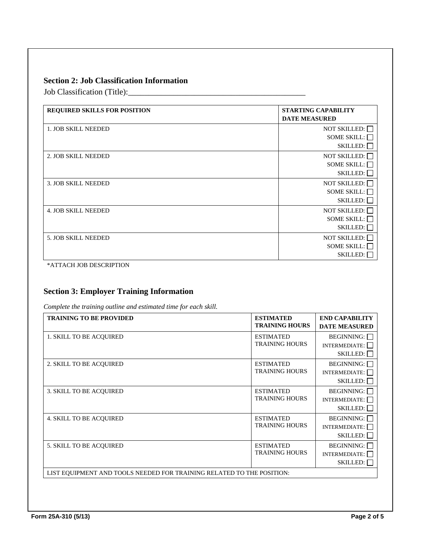## **Section 2: Job Classification Information**

Job Classification (Title):\_\_\_\_\_\_\_\_\_\_\_\_\_\_\_\_\_\_\_\_\_\_\_\_\_\_\_\_\_\_\_\_\_\_\_\_\_\_\_\_\_\_\_

| <b>REQUIRED SKILLS FOR POSITION</b> | <b>STARTING CAPABILITY</b><br><b>DATE MEASURED</b>           |
|-------------------------------------|--------------------------------------------------------------|
| <b>1. JOB SKILL NEEDED</b>          | NOT SKILLED: $\Box$<br>SOME SKILL: $\Box$<br>SKILLED:        |
| 2. JOB SKILL NEEDED                 | NOT SKILLED: $\Box$<br>SOME SKILL: $\Box$<br>$SKILLED: \Box$ |
| <b>3. JOB SKILL NEEDED</b>          | <b>NOT SKILLED:</b><br>SOME SKILL: $\Box$<br>SKILLED:        |
| <b>4. JOB SKILL NEEDED</b>          | NOT SKILLED:<br>SOME SKILL:<br>SKILLED:                      |
| <b>5. JOB SKILL NEEDED</b>          | NOT SKILLED:<br>SOME SKILL:<br><b>SKILLED:</b>               |

\*ATTACH JOB DESCRIPTION

## **Section 3: Employer Training Information**

*Complete the training outline and estimated time for each skill.* 

| <b>TRAINING TO BE PROVIDED</b>                                        | <b>ESTIMATED</b><br><b>TRAINING HOURS</b> | <b>END CAPABILITY</b><br><b>DATE MEASURED</b>         |
|-----------------------------------------------------------------------|-------------------------------------------|-------------------------------------------------------|
| <b>1. SKILL TO BE ACQUIRED</b>                                        | <b>ESTIMATED</b><br><b>TRAINING HOURS</b> | BEGINNING:<br>INTERMEDIATE: $\Box$<br>SKILLED:        |
| 2. SKILL TO BE ACOUIRED                                               | <b>ESTIMATED</b><br><b>TRAINING HOURS</b> | BEGINNING:<br>INTERMEDIATE:<br>$SKILLED: \Box$        |
| 3. SKILL TO BE ACQUIRED                                               | <b>ESTIMATED</b><br><b>TRAINING HOURS</b> | <b>BEGINNING:</b><br>INTERMEDIATE:<br>$SKILLED: \Box$ |
| <b>4. SKILL TO BE ACQUIRED</b>                                        | <b>ESTIMATED</b><br><b>TRAINING HOURS</b> | BEGINNING:<br>INTERMEDIATE:<br>SKILLED: $\Box$        |
| <b>5. SKILL TO BE ACOUIRED</b>                                        | <b>ESTIMATED</b><br><b>TRAINING HOURS</b> | BEGINNING:<br>INTERMEDIATE:<br>$SKILLED: \Box$        |
| LIST EQUIPMENT AND TOOLS NEEDED FOR TRAINING RELATED TO THE POSITION: |                                           |                                                       |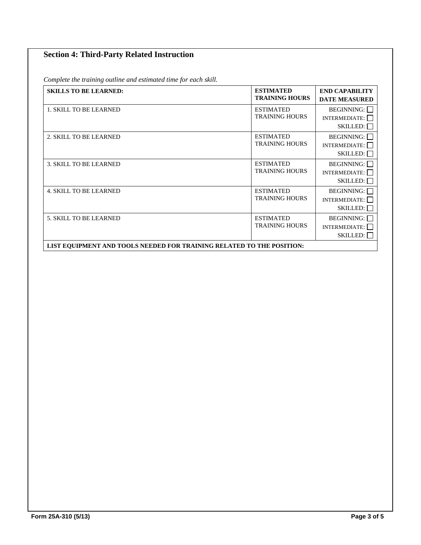# **Section 4: Third-Party Related Instruction**

*Complete the training outline and estimated time for each skill.* 

| <b>SKILLS TO BE LEARNED:</b>                                          | <b>ESTIMATED</b><br><b>TRAINING HOURS</b> | <b>END CAPABILITY</b><br><b>DATE MEASURED</b>         |
|-----------------------------------------------------------------------|-------------------------------------------|-------------------------------------------------------|
| 1. SKILL TO BE LEARNED                                                | <b>ESTIMATED</b><br><b>TRAINING HOURS</b> | BEGINNING:<br>INTERMEDIATE:<br>$SKILLED: \Box$        |
| 2. SKILL TO BE LEARNED                                                | <b>ESTIMATED</b><br><b>TRAINING HOURS</b> | <b>BEGINNING:</b><br>INTERMEDIATE:<br>$SKILLED: \Box$ |
| <b>3. SKILL TO BE LEARNED</b>                                         | <b>ESTIMATED</b><br><b>TRAINING HOURS</b> | <b>BEGINNING:</b><br>INTERMEDIATE:<br>$SKILLED: \Box$ |
| <b>4. SKILL TO BE LEARNED</b>                                         | <b>ESTIMATED</b><br><b>TRAINING HOURS</b> | BEGINNING:<br>INTERMEDIATE:<br>SKILLED:               |
| <b>5. SKILL TO BE LEARNED</b>                                         | <b>ESTIMATED</b><br><b>TRAINING HOURS</b> | <b>BEGINNING:</b><br><b>INTERMEDIATE:</b><br>SKILLED: |
| LIST EQUIPMENT AND TOOLS NEEDED FOR TRAINING RELATED TO THE POSITION: |                                           |                                                       |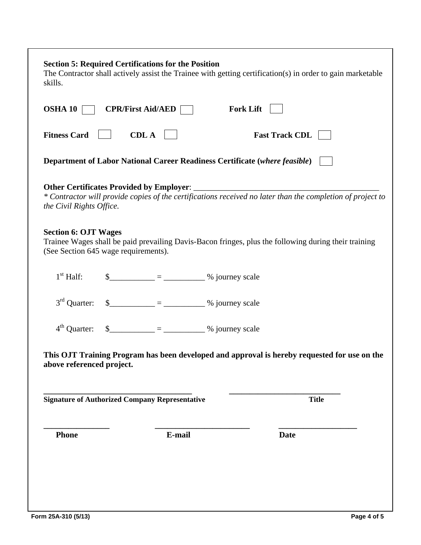| skills.                                                             | <b>Section 5: Required Certifications for the Position</b>                                                                                                                                                                                                                                                                                                                                                                                      |                  | The Contractor shall actively assist the Trainee with getting certification(s) in order to gain marketable |
|---------------------------------------------------------------------|-------------------------------------------------------------------------------------------------------------------------------------------------------------------------------------------------------------------------------------------------------------------------------------------------------------------------------------------------------------------------------------------------------------------------------------------------|------------------|------------------------------------------------------------------------------------------------------------|
| OSHA $10$                                                           | $CPR/First$ Aid/AED                                                                                                                                                                                                                                                                                                                                                                                                                             | <b>Fork Lift</b> |                                                                                                            |
| <b>Fitness Card</b>                                                 | <b>CDL A</b>                                                                                                                                                                                                                                                                                                                                                                                                                                    |                  | <b>Fast Track CDL</b>                                                                                      |
|                                                                     | <b>Department of Labor National Career Readiness Certificate (where feasible)</b>                                                                                                                                                                                                                                                                                                                                                               |                  |                                                                                                            |
| the Civil Rights Office.                                            | Other Certificates Provided by Employer: ________                                                                                                                                                                                                                                                                                                                                                                                               |                  | * Contractor will provide copies of the certifications received no later than the completion of project to |
| <b>Section 6: OJT Wages</b><br>(See Section 645 wage requirements). |                                                                                                                                                                                                                                                                                                                                                                                                                                                 |                  | Trainee Wages shall be paid prevailing Davis-Bacon fringes, plus the following during their training       |
| $1st$ Half:                                                         | $\frac{\text{S}_{\text{S}}}{\text{S}_{\text{S}}}\frac{1}{\text{S}_{\text{S}}}\frac{1}{\text{S}_{\text{S}}}\frac{1}{\text{S}_{\text{S}}}\frac{1}{\text{S}_{\text{S}}}\frac{1}{\text{S}_{\text{S}}}\frac{1}{\text{S}_{\text{S}}}\frac{1}{\text{S}_{\text{S}}}\frac{1}{\text{S}_{\text{S}}}\frac{1}{\text{S}_{\text{S}}}\frac{1}{\text{S}_{\text{S}}}\frac{1}{\text{S}_{\text{S}}}\frac{1}{\text{S}_{\text{S}}}\frac{1}{\text{S}_{\text{S}}}\frac$ |                  |                                                                                                            |
| $3rd$ Quarter:                                                      | $\frac{1}{2}$ = ___________________ % journey scale                                                                                                                                                                                                                                                                                                                                                                                             |                  |                                                                                                            |
| $4th$ Ouarter:                                                      | $\frac{\text{S}_{\text{S}}}{\text{S}_{\text{S}}}-\frac{1}{\text{S}_{\text{S}}}-\frac{1}{\text{S}_{\text{S}}}-\frac{1}{\text{S}_{\text{S}}}-\frac{1}{\text{S}_{\text{S}}}-\frac{1}{\text{S}_{\text{S}}}-\frac{1}{\text{S}_{\text{S}}}-\frac{1}{\text{S}_{\text{S}}}-\frac{1}{\text{S}_{\text{S}}}-\frac{1}{\text{S}_{\text{S}}}-\frac{1}{\text{S}_{\text{S}}}-\frac{1}{\text{S}_{\text{S}}}-\frac{1}{\text{S}_{\text{S}}}-\frac{1$               |                  |                                                                                                            |
| above referenced project.                                           |                                                                                                                                                                                                                                                                                                                                                                                                                                                 |                  | This OJT Training Program has been developed and approval is hereby requested for use on the               |
|                                                                     | <b>Signature of Authorized Company Representative</b>                                                                                                                                                                                                                                                                                                                                                                                           |                  | <b>Title</b>                                                                                               |
| <b>Phone</b>                                                        | E-mail                                                                                                                                                                                                                                                                                                                                                                                                                                          |                  | <b>Date</b>                                                                                                |
|                                                                     |                                                                                                                                                                                                                                                                                                                                                                                                                                                 |                  |                                                                                                            |
|                                                                     |                                                                                                                                                                                                                                                                                                                                                                                                                                                 |                  |                                                                                                            |